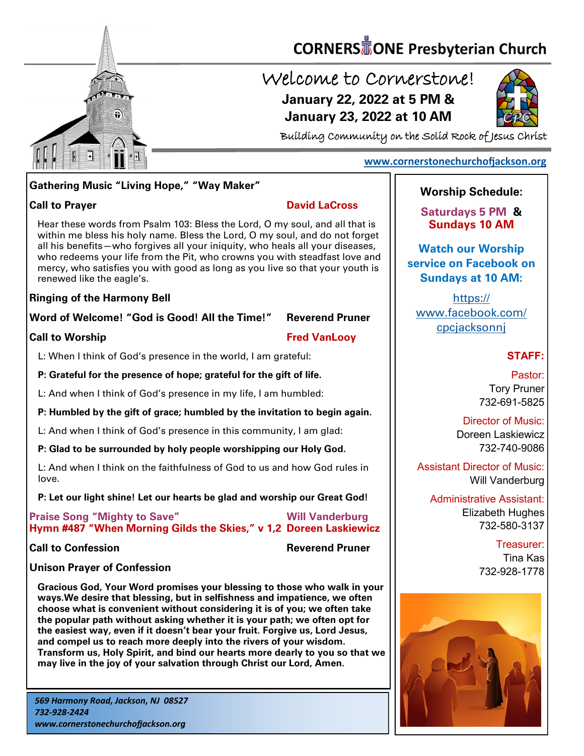

# **CORNERS** TONE Presbyterian Church

## Welcome to Cornerstone! **January 22, 2022 at 5 PM & January 23, 2022 at 10 AM**



Building Community on the Solid Rock of Jesus Christ

#### **[www.cornerstonechurchofjackson.org](http://www.cornerstonechurchofjackson.org)**

#### **Gathering Music "Living Hope," "Way Maker"**

**Call to Prayer David LaCross** 

 within me bless his holy name. Bless the Lord, O my soul, and do not forget Hear these words from Psalm 103: Bless the Lord, O my soul, and all that is all his benefits—who forgives all your iniquity, who heals all your diseases, who redeems your life from the Pit, who crowns you with steadfast love and mercy, who satisfies you with good as long as you live so that your youth is renewed like the eagle's.

#### **Ringing of the Harmony Bell**

#### **Word of Welcome! "God is Good! All the Time!" Reverend Pruner**

#### **Call to Worship Call to Worship Call to Worship Call to Worship Call to Worship Call to Worship Call to Worship Call to Worship Call to Worship Call to Worship Call to Worship Call to Worship Call to Worship Call to Worsh**

L: When I think of God's presence in the world, I am grateful:

#### **P: Grateful for the presence of hope; grateful for the gift of life.**

L: And when I think of God's presence in my life, I am humbled:

#### **P: Humbled by the gift of grace; humbled by the invitation to begin again.**

L: And when I think of God's presence in this community, I am glad:

#### **P: Glad to be surrounded by holy people worshipping our Holy God.**

L: And when I think on the faithfulness of God to us and how God rules in love.

#### **P: Let our light shine! Let our hearts be glad and worship our Great God!**

**Praise Song "Mighty to Save" Will Vanderburg Hymn #487 "When Morning Gilds the Skies," v 1,2 Doreen Laskiewicz**

**Call to Confession Reverend Pruner** 

## **Unison Prayer of Confession**

**Gracious God, Your Word promises your blessing to those who walk in your ways.We desire that blessing, but in selfishness and impatience, we often choose what is convenient without considering it is of you; we often take the popular path without asking whether it is your path; we often opt for the easiest way, even if it doesn't bear your fruit. Forgive us, Lord Jesus, and compel us to reach more deeply into the rivers of your wisdom. Transform us, Holy Spirit, and bind our hearts more dearly to you so that we may live in the joy of your salvation through Christ our Lord, Amen.**

### **Worship Schedule:**

**Saturdays 5 PM & Sundays 10 AM**

**Watch our Worship service on Facebook on Sundays at 10 AM:**

[https://](https://www.facebook.com/cpcjacksonnj) [www.facebook.com/](https://www.facebook.com/cpcjacksonnj) [cpcjacksonnj](https://www.facebook.com/cpcjacksonnj)

#### **STAFF:**

Pastor: Tory Pruner 732-691-5825

#### Director of Music: Doreen Laskiewicz 732-740-9086

Assistant Director of Music: Will Vanderburg

Administrative Assistant: Elizabeth Hughes 732-580-3137

> Treasurer: Tina Kas 732-928-1778